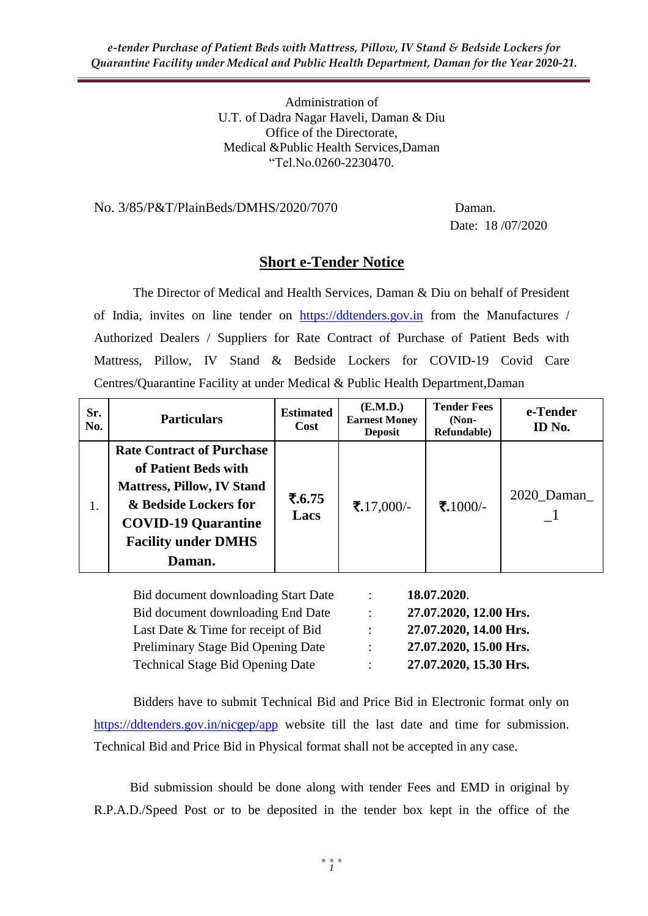Administration of U.T. of Dadra Nagar Haveli, Daman & Diu Office of the Directorate, Medical &Public Health Services,Daman "Tel.No.0260-2230470.

#### No. 3/85/P&T/PlainBeds/DMHS/2020/7070 Daman.

Date: 18 /07/2020

# **Short e-Tender Notice**

The Director of Medical and Health Services, Daman & Diu on behalf of President of India, invites on line tender on [https://ddtenders.gov.in](https://ddtenders.gov.in/nicgep/app) from the Manufactures / Authorized Dealers / Suppliers for Rate Contract of Purchase of Patient Beds with Mattress, Pillow, IV Stand & Bedside Lockers for COVID-19 Covid Care Centres/Quarantine Facility at under Medical & Public Health Department,Daman

| Sr.<br>No. | <b>Particulars</b>                                                                                                                                                                           | <b>Estimated</b><br><b>Cost</b> | ( <b>E.M.D.</b> )<br><b>Earnest Money</b><br><b>Deposit</b> | <b>Tender Fees</b><br>$(Non-$<br>Refundable) | e-Tender<br>ID No. |
|------------|----------------------------------------------------------------------------------------------------------------------------------------------------------------------------------------------|---------------------------------|-------------------------------------------------------------|----------------------------------------------|--------------------|
| 1.         | <b>Rate Contract of Purchase</b><br>of Patient Beds with<br><b>Mattress, Pillow, IV Stand</b><br>& Bedside Lockers for<br><b>COVID-19 Quarantine</b><br><b>Facility under DMHS</b><br>Daman. | ₹.6.75<br>Lacs                  | ₹.17,000/-                                                  | ₹.1000/-                                     | 2020_Daman_        |
|            |                                                                                                                                                                                              |                                 |                                                             |                                              |                    |

|                           | 18.07.2020.            |
|---------------------------|------------------------|
| $\mathbb{R}^n$            | 27.07.2020, 12.00 Hrs. |
| $\mathbb{Z}^{\mathbb{Z}}$ | 27.07.2020, 14.00 Hrs. |
| $\mathcal{L}$             | 27.07.2020, 15.00 Hrs. |
| $\mathbb{R}^{\mathbb{Z}}$ | 27.07.2020, 15.30 Hrs. |
|                           |                        |

Bidders have to submit Technical Bid and Price Bid in Electronic format only on <https://ddtenders.gov.in/nicgep/app> website till the last date and time for submission. Technical Bid and Price Bid in Physical format shall not be accepted in any case.

 Bid submission should be done along with tender Fees and EMD in original by R.P.A.D./Speed Post or to be deposited in the tender box kept in the office of the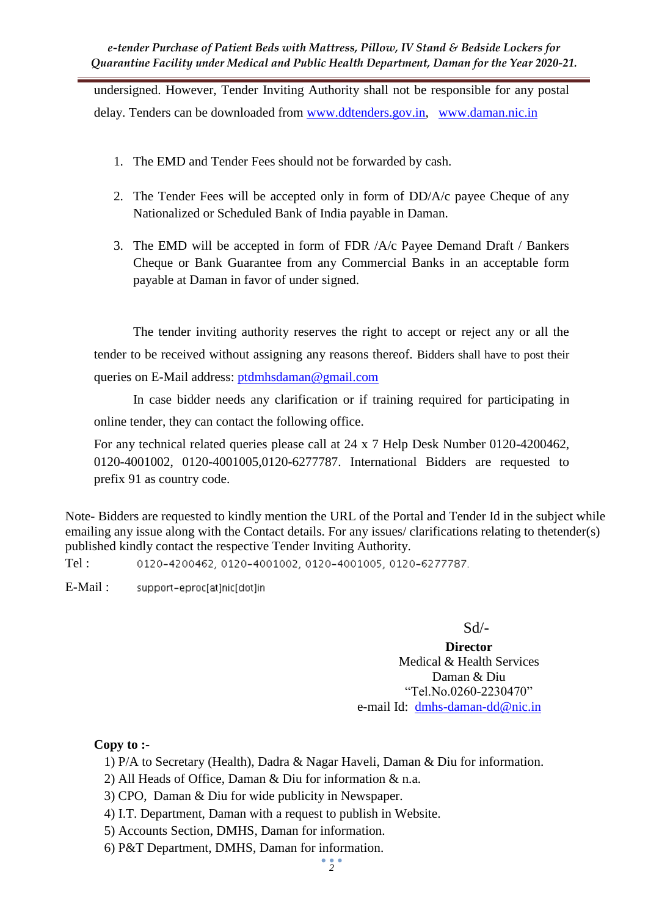undersigned. However, Tender Inviting Authority shall not be responsible for any postal delay. Tenders can be downloaded from [www.ddtenders.gov.in,](http://www.ddtenders.gov.in/) [www.daman.nic.in](http://www.daman.nic.in/)

- 1. The EMD and Tender Fees should not be forwarded by cash.
- 2. The Tender Fees will be accepted only in form of DD/A/c payee Cheque of any Nationalized or Scheduled Bank of India payable in Daman.
- 3. The EMD will be accepted in form of FDR /A/c Payee Demand Draft / Bankers Cheque or Bank Guarantee from any Commercial Banks in an acceptable form payable at Daman in favor of under signed.

The tender inviting authority reserves the right to accept or reject any or all the tender to be received without assigning any reasons thereof. Bidders shall have to post their queries on E-Mail address: [ptdmhsdaman@gmail.com](mailto:ptdmhsdaman@gmail.com)

In case bidder needs any clarification or if training required for participating in online tender, they can contact the following office.

For any technical related queries please call at 24 x 7 Help Desk Number 0120-4200462, 0120-4001002, 0120-4001005,0120-6277787. International Bidders are requested to prefix 91 as country code.

Note- Bidders are requested to kindly mention the URL of the Portal and Tender Id in the subject while emailing any issue along with the Contact details. For any issues/ clarifications relating to thetender(s) published kindly contact the respective Tender Inviting Authority.

Tel : 0120-4200462, 0120-4001002, 0120-4001005, 0120-6277787.

E-Mail : support-eproc[at]nic[dot]in

Sd/-

**Director** Medical & Health Services Daman & Diu "Tel.No.0260-2230470" e-mail Id: [dmhs-daman-dd@nic.in](mailto:dmhs-daman-dd@nic.in)

### **Copy to :-**

- 1) P/A to Secretary (Health), Dadra & Nagar Haveli, Daman & Diu for information.
- 2) All Heads of Office, Daman & Diu for information & n.a.
- 3) CPO, Daman & Diu for wide publicity in Newspaper.
- 4) I.T. Department, Daman with a request to publish in Website.
- 5) Accounts Section, DMHS, Daman for information.
- 6) P&T Department, DMHS, Daman for information.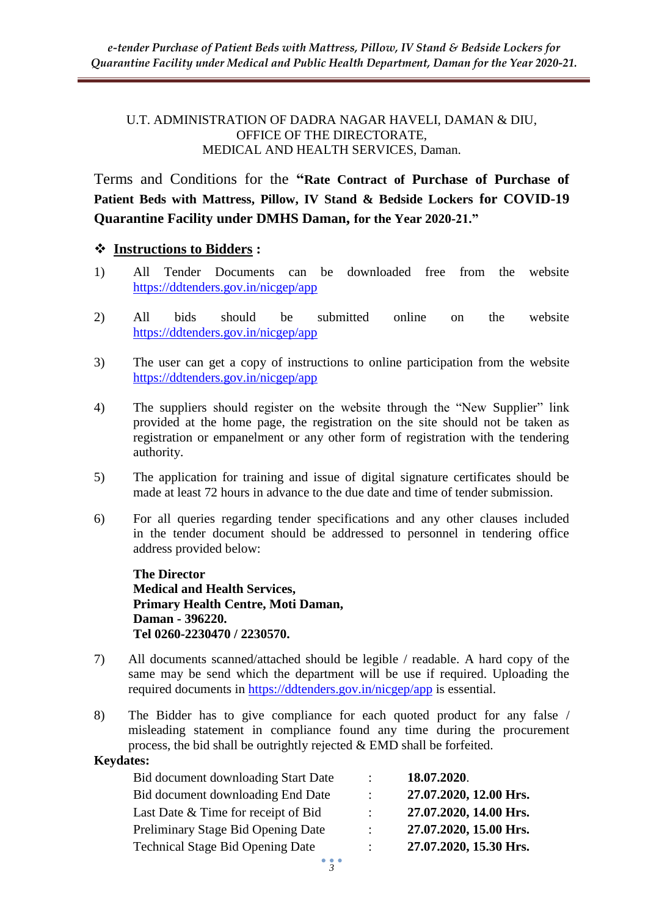#### U.T. ADMINISTRATION OF DADRA NAGAR HAVELI, DAMAN & DIU, OFFICE OF THE DIRECTORATE, MEDICAL AND HEALTH SERVICES, Daman.

Terms and Conditions for the **"Rate Contract of Purchase of Purchase of Patient Beds with Mattress, Pillow, IV Stand & Bedside Lockers for COVID-19 Quarantine Facility under DMHS Daman, for the Year 2020-21."**

### **Instructions to Bidders :**

- 1) All Tender Documents can be downloaded free from the website <https://ddtenders.gov.in/nicgep/app>
- 2) All bids should be submitted online on the website <https://ddtenders.gov.in/nicgep/app>
- 3) The user can get a copy of instructions to online participation from the website <https://ddtenders.gov.in/nicgep/app>
- 4) The suppliers should register on the website through the "New Supplier" link provided at the home page, the registration on the site should not be taken as registration or empanelment or any other form of registration with the tendering authority.
- 5) The application for training and issue of digital signature certificates should be made at least 72 hours in advance to the due date and time of tender submission.
- 6) For all queries regarding tender specifications and any other clauses included in the tender document should be addressed to personnel in tendering office address provided below:

**The Director Medical and Health Services, Primary Health Centre, Moti Daman, Daman - 396220. Tel 0260-2230470 / 2230570.**

- 7) All documents scanned/attached should be legible / readable. A hard copy of the same may be send which the department will be use if required. Uploading the required documents in<https://ddtenders.gov.in/nicgep/app> is essential.
- 8) The Bidder has to give compliance for each quoted product for any false / misleading statement in compliance found any time during the procurement process, the bid shall be outrightly rejected & EMD shall be forfeited.

#### **Keydates:**

| Bid document downloading Start Date     | ÷  | 18.07.2020.            |
|-----------------------------------------|----|------------------------|
| Bid document downloading End Date       | ÷  | 27.07.2020, 12.00 Hrs. |
| Last Date & Time for receipt of Bid     | ٠. | 27.07.2020, 14.00 Hrs. |
| Preliminary Stage Bid Opening Date      | ÷  | 27.07.2020, 15.00 Hrs. |
| <b>Technical Stage Bid Opening Date</b> | ÷  | 27.07.2020, 15.30 Hrs. |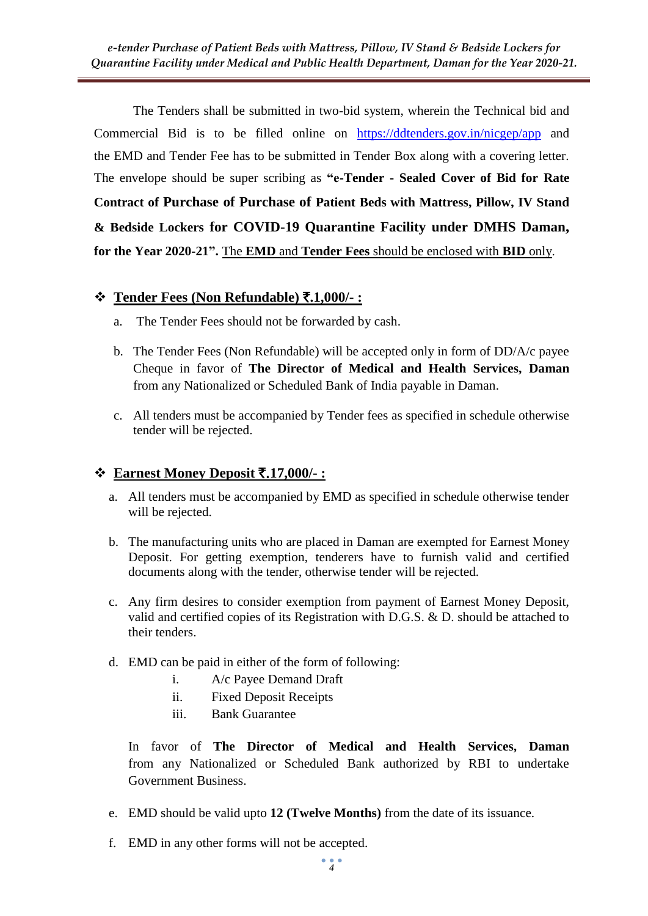The Tenders shall be submitted in two-bid system, wherein the Technical bid and Commercial Bid is to be filled online on <https://ddtenders.gov.in/nicgep/app> and the EMD and Tender Fee has to be submitted in Tender Box along with a covering letter. The envelope should be super scribing as **"e-Tender - Sealed Cover of Bid for Rate Contract of Purchase of Purchase of Patient Beds with Mattress, Pillow, IV Stand & Bedside Lockers for COVID-19 Quarantine Facility under DMHS Daman, for the Year 2020-21".** The **EMD** and **Tender Fees** should be enclosed with **BID** only.

## **Tender Fees (Non Refundable)** `**.1,000/- :**

- a. The Tender Fees should not be forwarded by cash.
- b. The Tender Fees (Non Refundable) will be accepted only in form of DD/A/c payee Cheque in favor of **The Director of Medical and Health Services, Daman**  from any Nationalized or Scheduled Bank of India payable in Daman.
- c. All tenders must be accompanied by Tender fees as specified in schedule otherwise tender will be rejected.

## **Earnest Money Deposit** `.**17,000/- :**

- a. All tenders must be accompanied by EMD as specified in schedule otherwise tender will be rejected.
- b. The manufacturing units who are placed in Daman are exempted for Earnest Money Deposit. For getting exemption, tenderers have to furnish valid and certified documents along with the tender, otherwise tender will be rejected.
- c. Any firm desires to consider exemption from payment of Earnest Money Deposit, valid and certified copies of its Registration with D.G.S. & D. should be attached to their tenders.
- d. EMD can be paid in either of the form of following:
	- i. A/c Payee Demand Draft
	- ii. Fixed Deposit Receipts
	- iii. Bank Guarantee

In favor of **The Director of Medical and Health Services, Daman**  from any Nationalized or Scheduled Bank authorized by RBI to undertake Government Business.

- e. EMD should be valid upto **12 (Twelve Months)** from the date of its issuance.
- f. EMD in any other forms will not be accepted.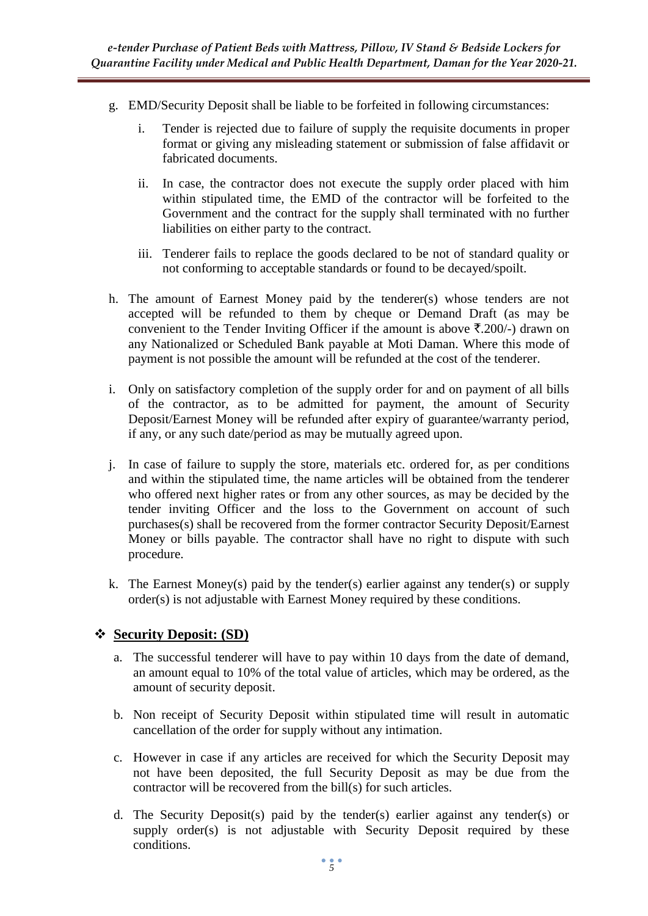- g. EMD/Security Deposit shall be liable to be forfeited in following circumstances:
	- i. Tender is rejected due to failure of supply the requisite documents in proper format or giving any misleading statement or submission of false affidavit or fabricated documents.
	- ii. In case, the contractor does not execute the supply order placed with him within stipulated time, the EMD of the contractor will be forfeited to the Government and the contract for the supply shall terminated with no further liabilities on either party to the contract.
	- iii. Tenderer fails to replace the goods declared to be not of standard quality or not conforming to acceptable standards or found to be decayed/spoilt.
- h. The amount of Earnest Money paid by the tenderer(s) whose tenders are not accepted will be refunded to them by cheque or Demand Draft (as may be convenient to the Tender Inviting Officer if the amount is above  $\bar{\tau}$ , 200/-) drawn on any Nationalized or Scheduled Bank payable at Moti Daman. Where this mode of payment is not possible the amount will be refunded at the cost of the tenderer.
- i. Only on satisfactory completion of the supply order for and on payment of all bills of the contractor, as to be admitted for payment, the amount of Security Deposit/Earnest Money will be refunded after expiry of guarantee/warranty period, if any, or any such date/period as may be mutually agreed upon.
- j. In case of failure to supply the store, materials etc. ordered for, as per conditions and within the stipulated time, the name articles will be obtained from the tenderer who offered next higher rates or from any other sources, as may be decided by the tender inviting Officer and the loss to the Government on account of such purchases(s) shall be recovered from the former contractor Security Deposit/Earnest Money or bills payable. The contractor shall have no right to dispute with such procedure.
- k. The Earnest Money(s) paid by the tender(s) earlier against any tender(s) or supply order(s) is not adjustable with Earnest Money required by these conditions.

# **Security Deposit: (SD)**

- a. The successful tenderer will have to pay within 10 days from the date of demand, an amount equal to 10% of the total value of articles, which may be ordered, as the amount of security deposit.
- b. Non receipt of Security Deposit within stipulated time will result in automatic cancellation of the order for supply without any intimation.
- c. However in case if any articles are received for which the Security Deposit may not have been deposited, the full Security Deposit as may be due from the contractor will be recovered from the bill(s) for such articles.
- d. The Security Deposit(s) paid by the tender(s) earlier against any tender(s) or supply order(s) is not adjustable with Security Deposit required by these conditions.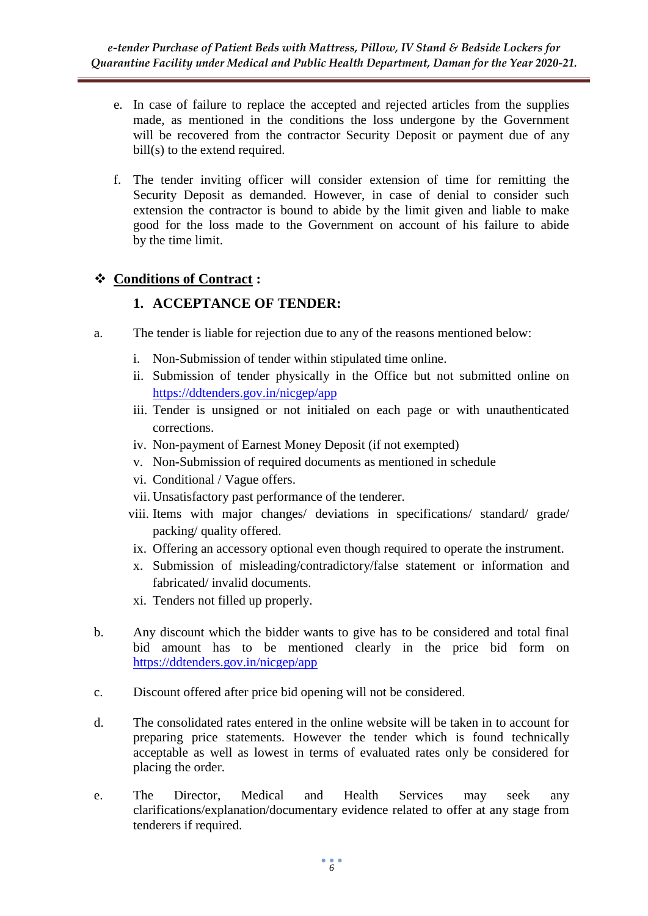- e. In case of failure to replace the accepted and rejected articles from the supplies made, as mentioned in the conditions the loss undergone by the Government will be recovered from the contractor Security Deposit or payment due of any bill(s) to the extend required.
- f. The tender inviting officer will consider extension of time for remitting the Security Deposit as demanded. However, in case of denial to consider such extension the contractor is bound to abide by the limit given and liable to make good for the loss made to the Government on account of his failure to abide by the time limit.

# **Conditions of Contract :**

# **1. ACCEPTANCE OF TENDER:**

- a. The tender is liable for rejection due to any of the reasons mentioned below:
	- i. Non-Submission of tender within stipulated time online.
	- ii. Submission of tender physically in the Office but not submitted online on <https://ddtenders.gov.in/nicgep/app>
	- iii. Tender is unsigned or not initialed on each page or with unauthenticated corrections.
	- iv. Non-payment of Earnest Money Deposit (if not exempted)
	- v. Non-Submission of required documents as mentioned in schedule
	- vi. Conditional / Vague offers.
	- vii. Unsatisfactory past performance of the tenderer.
	- viii. Items with major changes/ deviations in specifications/ standard/ grade/ packing/ quality offered.
	- ix. Offering an accessory optional even though required to operate the instrument.
	- x. Submission of misleading/contradictory/false statement or information and fabricated/ invalid documents.
	- xi. Tenders not filled up properly.
- b. Any discount which the bidder wants to give has to be considered and total final bid amount has to be mentioned clearly in the price bid form on <https://ddtenders.gov.in/nicgep/app>
- c. Discount offered after price bid opening will not be considered.
- d. The consolidated rates entered in the online website will be taken in to account for preparing price statements. However the tender which is found technically acceptable as well as lowest in terms of evaluated rates only be considered for placing the order.
- e. The Director, Medical and Health Services may seek any clarifications/explanation/documentary evidence related to offer at any stage from tenderers if required.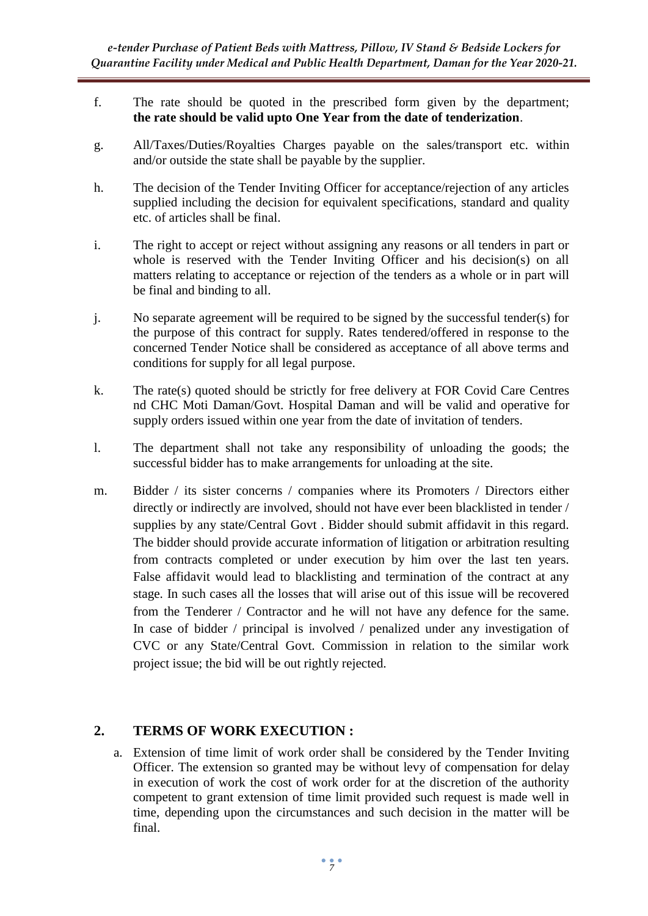- f. The rate should be quoted in the prescribed form given by the department; **the rate should be valid upto One Year from the date of tenderization**.
- g. All/Taxes/Duties/Royalties Charges payable on the sales/transport etc. within and/or outside the state shall be payable by the supplier.
- h. The decision of the Tender Inviting Officer for acceptance/rejection of any articles supplied including the decision for equivalent specifications, standard and quality etc. of articles shall be final.
- i. The right to accept or reject without assigning any reasons or all tenders in part or whole is reserved with the Tender Inviting Officer and his decision(s) on all matters relating to acceptance or rejection of the tenders as a whole or in part will be final and binding to all.
- j. No separate agreement will be required to be signed by the successful tender(s) for the purpose of this contract for supply. Rates tendered/offered in response to the concerned Tender Notice shall be considered as acceptance of all above terms and conditions for supply for all legal purpose.
- k. The rate(s) quoted should be strictly for free delivery at FOR Covid Care Centres nd CHC Moti Daman/Govt. Hospital Daman and will be valid and operative for supply orders issued within one year from the date of invitation of tenders.
- l. The department shall not take any responsibility of unloading the goods; the successful bidder has to make arrangements for unloading at the site.
- m. Bidder / its sister concerns / companies where its Promoters / Directors either directly or indirectly are involved, should not have ever been blacklisted in tender / supplies by any state/Central Govt . Bidder should submit affidavit in this regard. The bidder should provide accurate information of litigation or arbitration resulting from contracts completed or under execution by him over the last ten years. False affidavit would lead to blacklisting and termination of the contract at any stage. In such cases all the losses that will arise out of this issue will be recovered from the Tenderer / Contractor and he will not have any defence for the same. In case of bidder / principal is involved / penalized under any investigation of CVC or any State/Central Govt. Commission in relation to the similar work project issue; the bid will be out rightly rejected.

## **2. TERMS OF WORK EXECUTION :**

a. Extension of time limit of work order shall be considered by the Tender Inviting Officer. The extension so granted may be without levy of compensation for delay in execution of work the cost of work order for at the discretion of the authority competent to grant extension of time limit provided such request is made well in time, depending upon the circumstances and such decision in the matter will be final.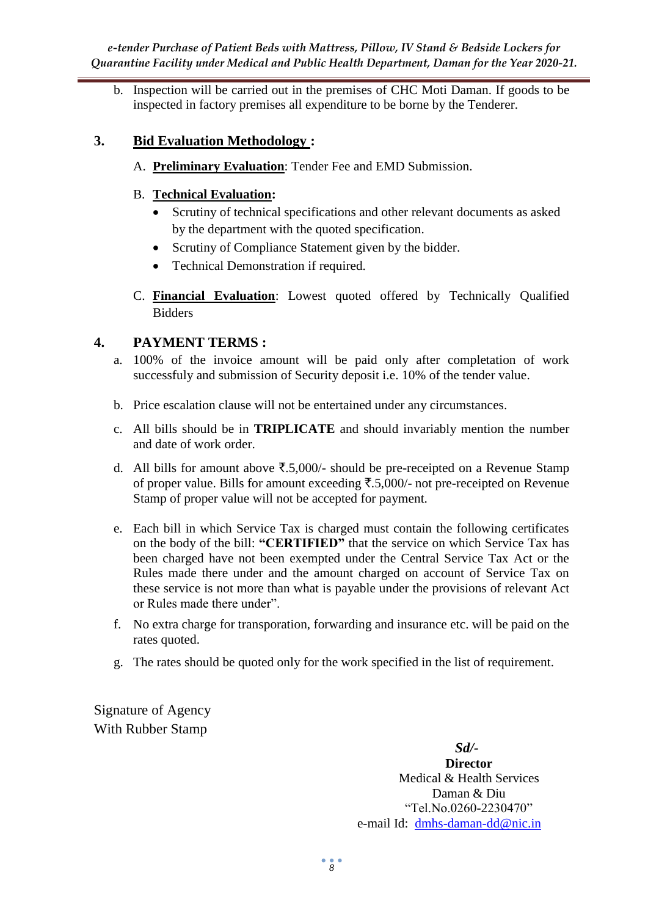b. Inspection will be carried out in the premises of CHC Moti Daman. If goods to be inspected in factory premises all expenditure to be borne by the Tenderer.

# **3. Bid Evaluation Methodology :**

A. **Preliminary Evaluation**: Tender Fee and EMD Submission.

# B. **Technical Evaluation:**

- Scrutiny of technical specifications and other relevant documents as asked by the department with the quoted specification.
- Scrutiny of Compliance Statement given by the bidder.
- Technical Demonstration if required.
- C. **Financial Evaluation**: Lowest quoted offered by Technically Qualified Bidders

# **4. PAYMENT TERMS :**

- a. 100% of the invoice amount will be paid only after completation of work successfuly and submission of Security deposit i.e. 10% of the tender value.
- b. Price escalation clause will not be entertained under any circumstances.
- c. All bills should be in **TRIPLICATE** and should invariably mention the number and date of work order.
- d. All bills for amount above  $\overline{\mathfrak{F}}.5,000/4$  should be pre-receipted on a Revenue Stamp of proper value. Bills for amount exceeding  $\overline{\xi}$ .5,000/- not pre-receipted on Revenue Stamp of proper value will not be accepted for payment.
- e. Each bill in which Service Tax is charged must contain the following certificates on the body of the bill: **"CERTIFIED"** that the service on which Service Tax has been charged have not been exempted under the Central Service Tax Act or the Rules made there under and the amount charged on account of Service Tax on these service is not more than what is payable under the provisions of relevant Act or Rules made there under".
- f. No extra charge for transporation, forwarding and insurance etc. will be paid on the rates quoted.
- g. The rates should be quoted only for the work specified in the list of requirement.

Signature of Agency With Rubber Stamp

> *Sd/-* **Director** Medical & Health Services Daman & Diu "Tel.No.0260-2230470" e-mail Id: [dmhs-daman-dd@nic.in](mailto:dmhs-daman-dd@nic.in)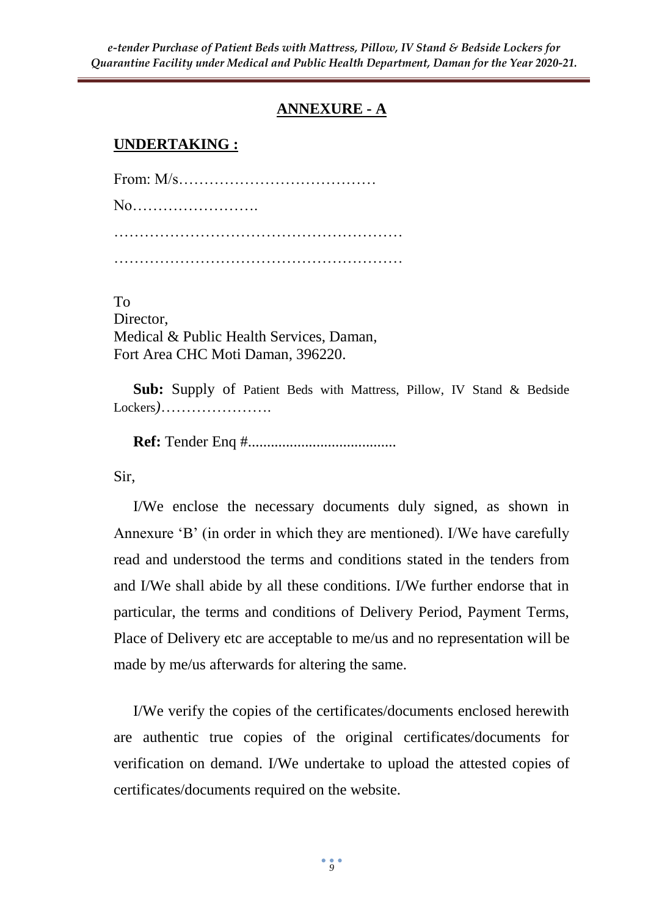# **ANNEXURE - A**

# **UNDERTAKING :**

From: M/s………………………………… No……………………. …………………………………………………

To Director, Medical & Public Health Services, Daman, Fort Area CHC Moti Daman, 396220.

**Sub:** Supply of Patient Beds with Mattress, Pillow, IV Stand & Bedside Lockers*)*………………….

**Ref:** Tender Enq #.......................................

Sir,

I/We enclose the necessary documents duly signed, as shown in Annexure 'B' (in order in which they are mentioned). I/We have carefully read and understood the terms and conditions stated in the tenders from and I/We shall abide by all these conditions. I/We further endorse that in particular, the terms and conditions of Delivery Period, Payment Terms, Place of Delivery etc are acceptable to me/us and no representation will be made by me/us afterwards for altering the same.

I/We verify the copies of the certificates/documents enclosed herewith are authentic true copies of the original certificates/documents for verification on demand. I/We undertake to upload the attested copies of certificates/documents required on the website.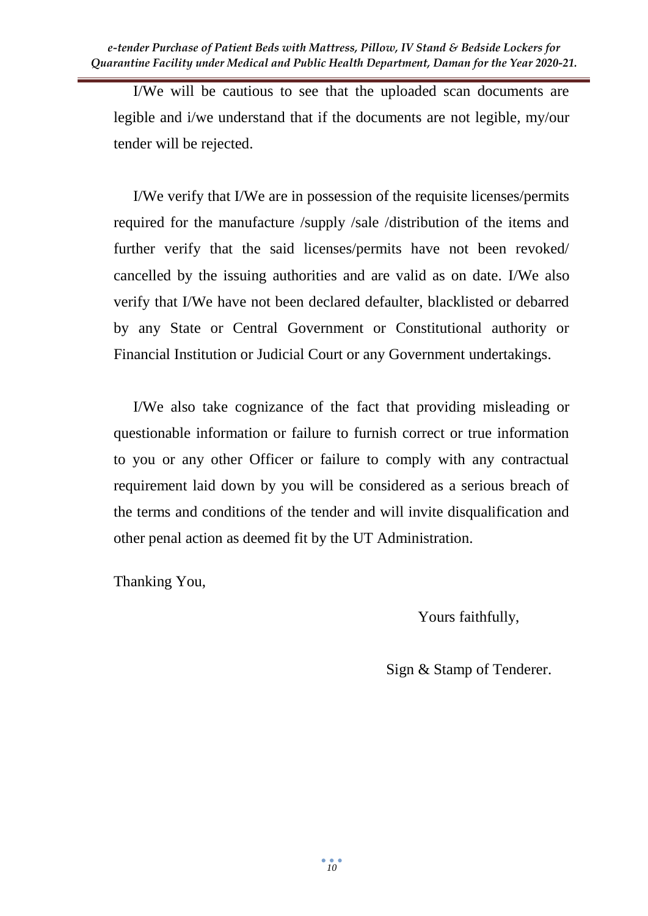I/We will be cautious to see that the uploaded scan documents are legible and i/we understand that if the documents are not legible, my/our tender will be rejected.

I/We verify that I/We are in possession of the requisite licenses/permits required for the manufacture /supply /sale /distribution of the items and further verify that the said licenses/permits have not been revoked/ cancelled by the issuing authorities and are valid as on date. I/We also verify that I/We have not been declared defaulter, blacklisted or debarred by any State or Central Government or Constitutional authority or Financial Institution or Judicial Court or any Government undertakings.

I/We also take cognizance of the fact that providing misleading or questionable information or failure to furnish correct or true information to you or any other Officer or failure to comply with any contractual requirement laid down by you will be considered as a serious breach of the terms and conditions of the tender and will invite disqualification and other penal action as deemed fit by the UT Administration.

Thanking You,

Yours faithfully,

Sign & Stamp of Tenderer.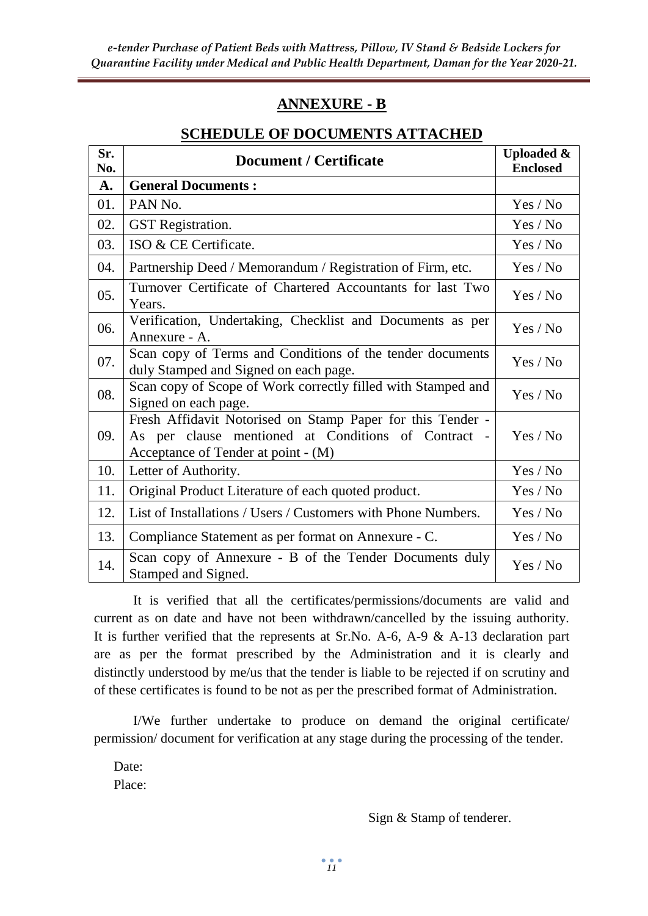# **ANNEXURE - B**

### **SCHEDULE OF DOCUMENTS ATTACHED**

| Sr.<br>No. | <b>Document / Certificate</b>                                                                                                                            | <b>Uploaded &amp;</b><br><b>Enclosed</b> |
|------------|----------------------------------------------------------------------------------------------------------------------------------------------------------|------------------------------------------|
| A.         | <b>General Documents:</b>                                                                                                                                |                                          |
| 01.        | PAN <sub>No.</sub>                                                                                                                                       | Yes / No                                 |
| 02.        | <b>GST</b> Registration.                                                                                                                                 | Yes / No                                 |
| 03.        | ISO & CE Certificate.                                                                                                                                    | Yes / No                                 |
| 04.        | Partnership Deed / Memorandum / Registration of Firm, etc.                                                                                               | Yes / No                                 |
| 05.        | Turnover Certificate of Chartered Accountants for last Two<br>Years.                                                                                     | Yes / No                                 |
| 06.        | Verification, Undertaking, Checklist and Documents as per<br>Annexure - A.                                                                               | Yes / No                                 |
| 07.        | Scan copy of Terms and Conditions of the tender documents<br>duly Stamped and Signed on each page.                                                       | Yes / No                                 |
| 08.        | Scan copy of Scope of Work correctly filled with Stamped and<br>Signed on each page.                                                                     | Yes / No                                 |
| 09.        | Fresh Affidavit Notorised on Stamp Paper for this Tender -<br>As per clause mentioned at Conditions of Contract -<br>Acceptance of Tender at point - (M) | Yes / No                                 |
| 10.        | Letter of Authority.                                                                                                                                     | Yes / No                                 |
| 11.        | Original Product Literature of each quoted product.                                                                                                      | Yes / No                                 |
| 12.        | List of Installations / Users / Customers with Phone Numbers.                                                                                            | Yes / No                                 |
| 13.        | Compliance Statement as per format on Annexure - C.                                                                                                      | Yes / No                                 |
| 14.        | Scan copy of Annexure - B of the Tender Documents duly<br>Stamped and Signed.                                                                            | Yes / No                                 |

It is verified that all the certificates/permissions/documents are valid and current as on date and have not been withdrawn/cancelled by the issuing authority. It is further verified that the represents at Sr.No. A-6, A-9 & A-13 declaration part are as per the format prescribed by the Administration and it is clearly and distinctly understood by me/us that the tender is liable to be rejected if on scrutiny and of these certificates is found to be not as per the prescribed format of Administration.

I/We further undertake to produce on demand the original certificate/ permission/ document for verification at any stage during the processing of the tender.

Date: Place:

Sign & Stamp of tenderer.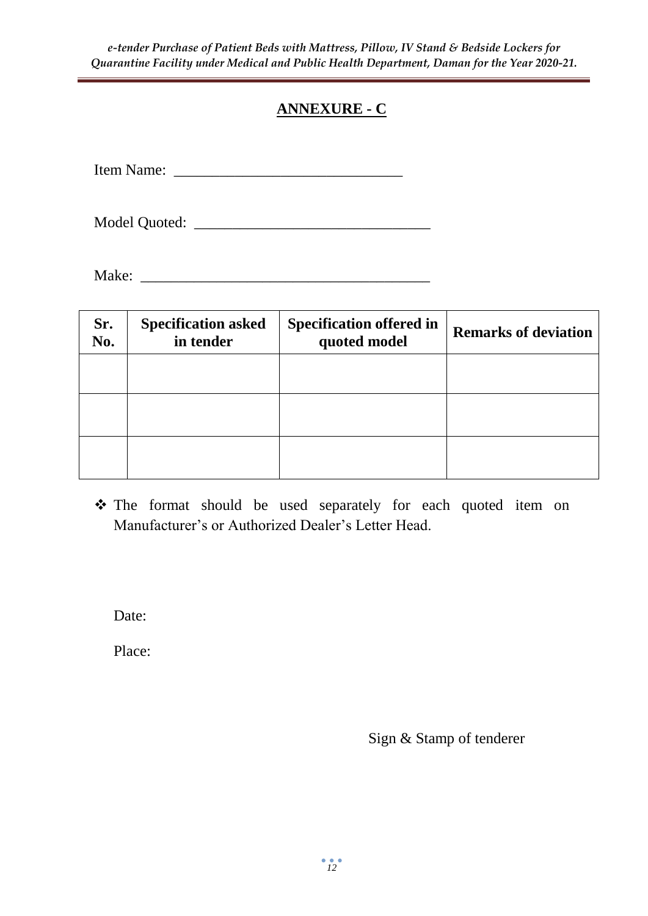# **ANNEXURE - C**

Item Name: \_\_\_\_\_\_\_\_\_\_\_\_\_\_\_\_\_\_\_\_\_\_\_\_\_\_\_\_\_\_

Model Quoted: \_\_\_\_\_\_\_\_\_\_\_\_\_\_\_\_\_\_\_\_\_\_\_\_\_\_\_\_\_\_\_

Make: \_\_\_\_\_\_\_\_\_\_\_\_\_\_\_\_\_\_\_\_\_\_\_\_\_\_\_\_\_\_\_\_\_\_\_\_\_\_

| Sr.<br>No. | <b>Specification asked</b><br>in tender | <b>Specification offered in</b><br>quoted model | <b>Remarks of deviation</b> |
|------------|-----------------------------------------|-------------------------------------------------|-----------------------------|
|            |                                         |                                                 |                             |
|            |                                         |                                                 |                             |
|            |                                         |                                                 |                             |

\* The format should be used separately for each quoted item on Manufacturer's or Authorized Dealer's Letter Head.

Date:

Place:

Sign & Stamp of tenderer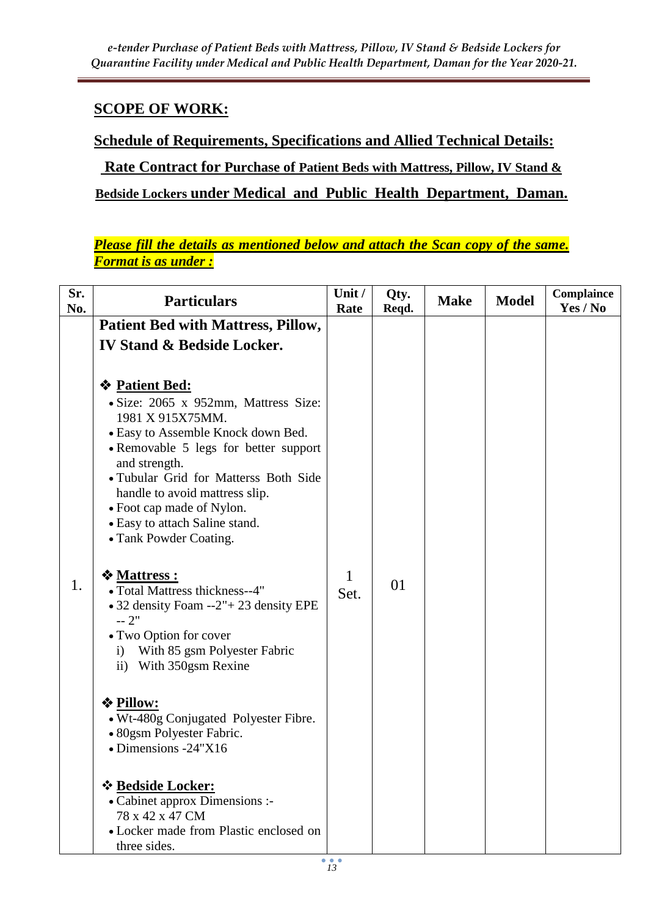# **SCOPE OF WORK:**

**Schedule of Requirements, Specifications and Allied Technical Details:**

**Rate Contract for Purchase of Patient Beds with Mattress, Pillow, IV Stand & Bedside Lockers under Medical and Public Health Department, Daman.**

*Please fill the details as mentioned below and attach the Scan copy of the same. Format is as under :*

| Sr.<br>No. | <b>Particulars</b>                                                                                                                                                                                                                                                                                                                                    | Unit /<br>Rate | Qty.<br>Reqd. | <b>Make</b> | <b>Model</b> | Complaince<br>Yes / No |
|------------|-------------------------------------------------------------------------------------------------------------------------------------------------------------------------------------------------------------------------------------------------------------------------------------------------------------------------------------------------------|----------------|---------------|-------------|--------------|------------------------|
|            | <b>Patient Bed with Mattress, Pillow,</b>                                                                                                                                                                                                                                                                                                             |                |               |             |              |                        |
|            | <b>IV Stand &amp; Bedside Locker.</b>                                                                                                                                                                                                                                                                                                                 |                |               |             |              |                        |
|            | <b>❖ Patient Bed:</b><br>• Size: 2065 x 952mm, Mattress Size:<br>1981 X 915X75MM.<br>• Easy to Assemble Knock down Bed.<br>• Removable 5 legs for better support<br>and strength.<br>• Tubular Grid for Matterss Both Side<br>handle to avoid mattress slip.<br>• Foot cap made of Nylon.<br>• Easy to attach Saline stand.<br>• Tank Powder Coating. |                |               |             |              |                        |
| 1.         | ❖ Mattress :<br>• Total Mattress thickness--4"<br>• 32 density Foam --2" + 23 density EPE<br>$-2"$<br>• Two Option for cover<br>With 85 gsm Polyester Fabric<br>$\mathbf{i}$<br>With 350gsm Rexine<br>$\mathbf{ii}$                                                                                                                                   | 1<br>Set.      | 01            |             |              |                        |
|            | <b>❖ Pillow:</b><br>• Wt-480g Conjugated Polyester Fibre.<br>• 80gsm Polyester Fabric.<br>$\bullet$ Dimensions -24"X16                                                                                                                                                                                                                                |                |               |             |              |                        |
|            | * Bedside Locker:<br>• Cabinet approx Dimensions :-<br>78 x 42 x 47 CM<br>• Locker made from Plastic enclosed on<br>three sides.                                                                                                                                                                                                                      |                |               |             |              |                        |